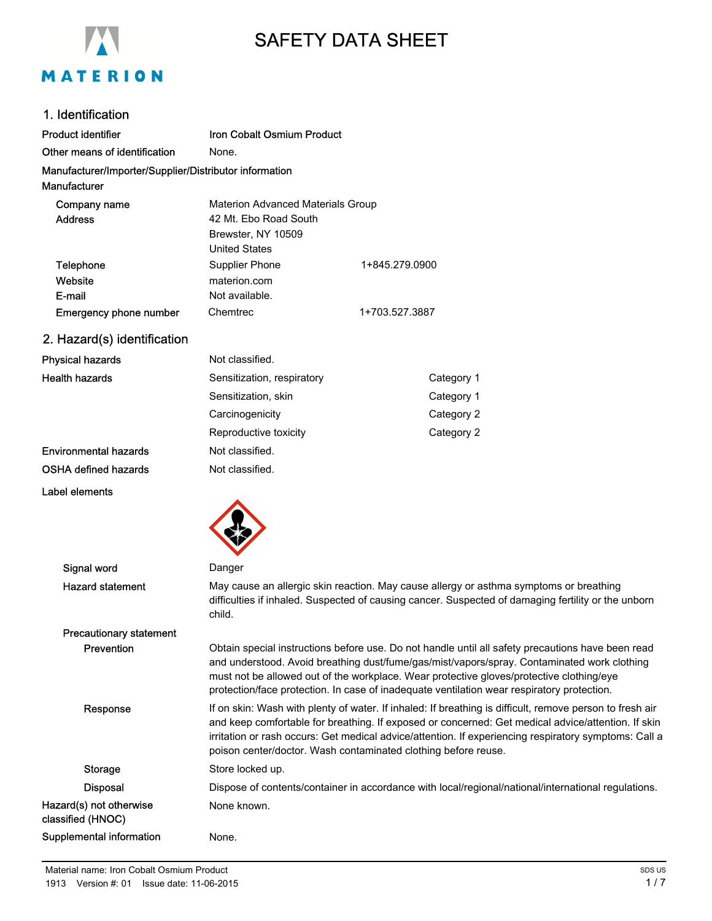

# SAFETY DATA SHEET

### 1. Identification

| <b>Product identifier</b>                              | Iron Cobalt Osmium Product               |                |  |
|--------------------------------------------------------|------------------------------------------|----------------|--|
| Other means of identification                          | None.                                    |                |  |
| Manufacturer/Importer/Supplier/Distributor information |                                          |                |  |
| <b>Manufacturer</b>                                    |                                          |                |  |
| Company name                                           | <b>Materion Advanced Materials Group</b> |                |  |
| <b>Address</b>                                         | 42 Mt. Ebo Road South                    |                |  |
|                                                        | Brewster, NY 10509                       |                |  |
|                                                        | <b>United States</b>                     |                |  |
| Telephone                                              | Supplier Phone                           | 1+845.279.0900 |  |
| Website                                                | materion.com                             |                |  |
| E-mail                                                 | Not available.                           |                |  |
| <b>Emergency phone number</b>                          | Chemtrec<br>1+703.527.3887               |                |  |
| 2. Hazard(s) identification                            |                                          |                |  |
| <b>Physical hazards</b>                                | Not classified.                          |                |  |
| <b>Health hazards</b>                                  | Sensitization, respiratory               | Category 1     |  |
|                                                        | Sensitization, skin                      | Category 1     |  |
|                                                        | Carcinogenicity                          | Category 2     |  |

# OSHA defined hazards Not classified.

Environmental hazards Not classified.

#### Label elements



| Signal word                                  | Danger                                                                                                                                                                                                                                                                                                                                                                                     |
|----------------------------------------------|--------------------------------------------------------------------------------------------------------------------------------------------------------------------------------------------------------------------------------------------------------------------------------------------------------------------------------------------------------------------------------------------|
| <b>Hazard statement</b>                      | May cause an allergic skin reaction. May cause allergy or asthma symptoms or breathing<br>difficulties if inhaled. Suspected of causing cancer. Suspected of damaging fertility or the unborn<br>child.                                                                                                                                                                                    |
| <b>Precautionary statement</b>               |                                                                                                                                                                                                                                                                                                                                                                                            |
| Prevention                                   | Obtain special instructions before use. Do not handle until all safety precautions have been read<br>and understood. Avoid breathing dust/fume/gas/mist/vapors/spray. Contaminated work clothing<br>must not be allowed out of the workplace. Wear protective gloves/protective clothing/eye<br>protection/face protection. In case of inadequate ventilation wear respiratory protection. |
| Response                                     | If on skin: Wash with plenty of water. If inhaled: If breathing is difficult, remove person to fresh air<br>and keep comfortable for breathing. If exposed or concerned: Get medical advice/attention. If skin<br>irritation or rash occurs: Get medical advice/attention. If experiencing respiratory symptoms: Call a<br>poison center/doctor. Wash contaminated clothing before reuse.  |
| Storage                                      | Store locked up.                                                                                                                                                                                                                                                                                                                                                                           |
| <b>Disposal</b>                              | Dispose of contents/container in accordance with local/regional/national/international regulations.                                                                                                                                                                                                                                                                                        |
| Hazard(s) not otherwise<br>classified (HNOC) | None known.                                                                                                                                                                                                                                                                                                                                                                                |
| Supplemental information                     | None.                                                                                                                                                                                                                                                                                                                                                                                      |

Reproductive toxicity **Category 2**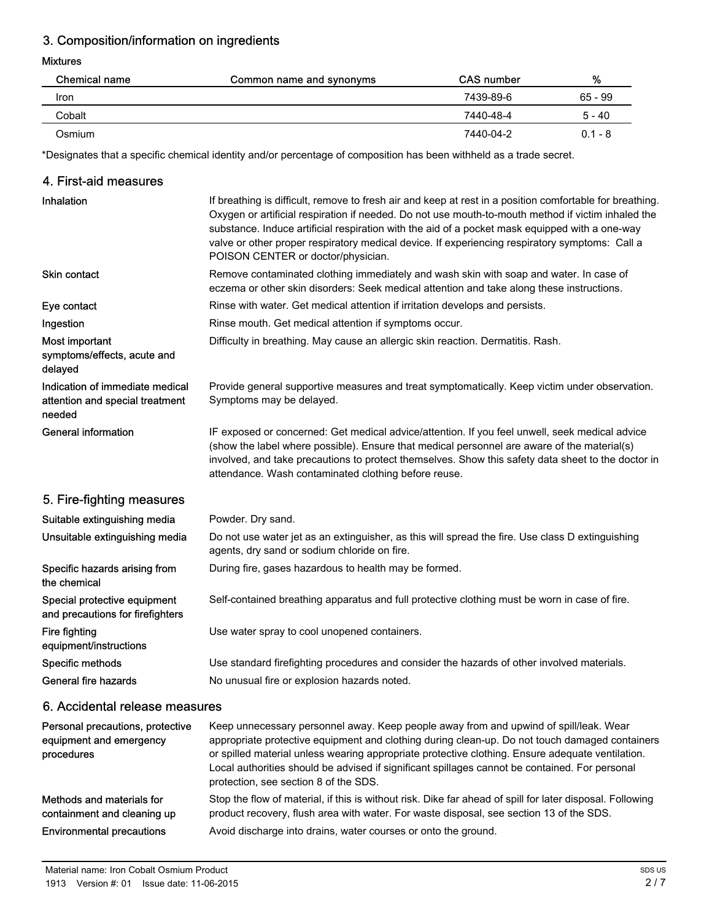# 3. Composition/information on ingredients

### Mixtures

| <b>Chemical name</b> | Common name and synonyms | <b>CAS</b> number | %         |
|----------------------|--------------------------|-------------------|-----------|
| Iron                 |                          | 7439-89-6         | 65 - 99   |
| Cobalt               |                          | 7440-48-4         | $5 - 40$  |
| Osmium               |                          | 7440-04-2         | $0.1 - 8$ |

\*Designates that a specific chemical identity and/or percentage of composition has been withheld as a trade secret.

### 4. First-aid measures

| <b>Inhalation</b>                                                            | If breathing is difficult, remove to fresh air and keep at rest in a position comfortable for breathing.<br>Oxygen or artificial respiration if needed. Do not use mouth-to-mouth method if victim inhaled the<br>substance. Induce artificial respiration with the aid of a pocket mask equipped with a one-way<br>valve or other proper respiratory medical device. If experiencing respiratory symptoms: Call a<br>POISON CENTER or doctor/physician. |
|------------------------------------------------------------------------------|----------------------------------------------------------------------------------------------------------------------------------------------------------------------------------------------------------------------------------------------------------------------------------------------------------------------------------------------------------------------------------------------------------------------------------------------------------|
| Skin contact                                                                 | Remove contaminated clothing immediately and wash skin with soap and water. In case of<br>eczema or other skin disorders: Seek medical attention and take along these instructions.                                                                                                                                                                                                                                                                      |
| Eye contact                                                                  | Rinse with water. Get medical attention if irritation develops and persists.                                                                                                                                                                                                                                                                                                                                                                             |
| Ingestion                                                                    | Rinse mouth. Get medical attention if symptoms occur.                                                                                                                                                                                                                                                                                                                                                                                                    |
| Most important<br>symptoms/effects, acute and<br>delayed                     | Difficulty in breathing. May cause an allergic skin reaction. Dermatitis. Rash.                                                                                                                                                                                                                                                                                                                                                                          |
| Indication of immediate medical<br>attention and special treatment<br>needed | Provide general supportive measures and treat symptomatically. Keep victim under observation.<br>Symptoms may be delayed.                                                                                                                                                                                                                                                                                                                                |
| <b>General information</b>                                                   | IF exposed or concerned: Get medical advice/attention. If you feel unwell, seek medical advice<br>(show the label where possible). Ensure that medical personnel are aware of the material(s)<br>involved, and take precautions to protect themselves. Show this safety data sheet to the doctor in<br>attendance. Wash contaminated clothing before reuse.                                                                                              |
| 5. Fire-fighting measures                                                    |                                                                                                                                                                                                                                                                                                                                                                                                                                                          |
| Suitable extinguishing media                                                 | Powder. Dry sand.                                                                                                                                                                                                                                                                                                                                                                                                                                        |
| Unsuitable extinguishing media                                               | Do not use water jet as an extinguisher, as this will spread the fire. Use class D extinguishing<br>agents, dry sand or sodium chloride on fire.                                                                                                                                                                                                                                                                                                         |
| Specific hazards arising from<br>the chemical                                | During fire, gases hazardous to health may be formed.                                                                                                                                                                                                                                                                                                                                                                                                    |
| Special protective equipment<br>and precautions for firefighters             | Self-contained breathing apparatus and full protective clothing must be worn in case of fire.                                                                                                                                                                                                                                                                                                                                                            |
| Fire fighting<br>equipment/instructions                                      | Use water spray to cool unopened containers.                                                                                                                                                                                                                                                                                                                                                                                                             |
| Specific methods                                                             | Use standard firefighting procedures and consider the hazards of other involved materials.                                                                                                                                                                                                                                                                                                                                                               |
| <b>General fire hazards</b>                                                  | No unusual fire or explosion hazards noted.                                                                                                                                                                                                                                                                                                                                                                                                              |
| 6. Accidental release measures                                               |                                                                                                                                                                                                                                                                                                                                                                                                                                                          |
| Personal precautions, protective<br>equinment and emergency                  | Keep unnecessary personnel away. Keep people away from and upwind of spill/leak. Wear<br>anpropriate protective equipment and clothing during clean-up. Do not touch damaged containers                                                                                                                                                                                                                                                                  |

| equipment and emergency<br>procedures                    | appropriate protective equipment and clothing during clean-up. Do not touch damaged containers<br>or spilled material unless wearing appropriate protective clothing. Ensure adequate ventilation.<br>Local authorities should be advised if significant spillages cannot be contained. For personal<br>protection, see section 8 of the SDS. |
|----------------------------------------------------------|-----------------------------------------------------------------------------------------------------------------------------------------------------------------------------------------------------------------------------------------------------------------------------------------------------------------------------------------------|
| Methods and materials for<br>containment and cleaning up | Stop the flow of material, if this is without risk. Dike far ahead of spill for later disposal. Following<br>product recovery, flush area with water. For waste disposal, see section 13 of the SDS.                                                                                                                                          |
| <b>Environmental precautions</b>                         | Avoid discharge into drains, water courses or onto the ground.                                                                                                                                                                                                                                                                                |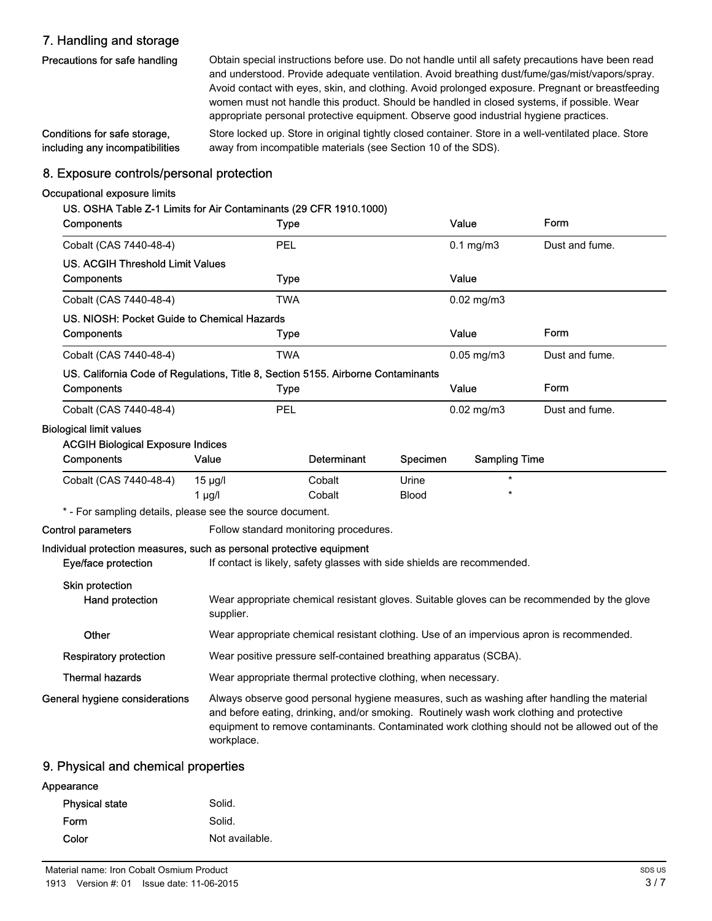# 7. Handling and storage

| Precautions for safe handling   | Obtain special instructions before use. Do not handle until all safety precautions have been read    |
|---------------------------------|------------------------------------------------------------------------------------------------------|
|                                 | and understood. Provide adequate ventilation. Avoid breathing dust/fume/gas/mist/vapors/spray.       |
|                                 | Avoid contact with eyes, skin, and clothing. Avoid prolonged exposure. Pregnant or breastfeeding     |
|                                 | women must not handle this product. Should be handled in closed systems, if possible. Wear           |
|                                 | appropriate personal protective equipment. Observe good industrial hygiene practices.                |
| Conditions for safe storage.    | Store locked up. Store in original tightly closed container. Store in a well-ventilated place. Store |
| including any incompatibilities | away from incompatible materials (see Section 10 of the SDS).                                        |

## 8. Exposure controls/personal protection

### Occupational exposure limits

| US. OSHA Table Z-1 Limits for Air Contaminants (29 CFR 1910.1000)                |                                                                                                                                                                                                                                                                                                       |                                                                                                     |              |                      |                |
|----------------------------------------------------------------------------------|-------------------------------------------------------------------------------------------------------------------------------------------------------------------------------------------------------------------------------------------------------------------------------------------------------|-----------------------------------------------------------------------------------------------------|--------------|----------------------|----------------|
| Components                                                                       |                                                                                                                                                                                                                                                                                                       | <b>Type</b>                                                                                         |              | Value                | Form           |
| Cobalt (CAS 7440-48-4)                                                           |                                                                                                                                                                                                                                                                                                       | PEL                                                                                                 |              | $0.1$ mg/m $3$       | Dust and fume. |
| <b>US. ACGIH Threshold Limit Values</b>                                          |                                                                                                                                                                                                                                                                                                       |                                                                                                     |              |                      |                |
| Components                                                                       |                                                                                                                                                                                                                                                                                                       | <b>Type</b>                                                                                         |              | Value                |                |
| Cobalt (CAS 7440-48-4)                                                           |                                                                                                                                                                                                                                                                                                       | <b>TWA</b>                                                                                          |              | $0.02$ mg/m $3$      |                |
| US. NIOSH: Pocket Guide to Chemical Hazards                                      |                                                                                                                                                                                                                                                                                                       |                                                                                                     |              |                      |                |
| Components                                                                       |                                                                                                                                                                                                                                                                                                       | <b>Type</b>                                                                                         |              | Value                | Form           |
| Cobalt (CAS 7440-48-4)                                                           |                                                                                                                                                                                                                                                                                                       | <b>TWA</b>                                                                                          |              | $0.05$ mg/m $3$      | Dust and fume. |
| US. California Code of Regulations, Title 8, Section 5155. Airborne Contaminants |                                                                                                                                                                                                                                                                                                       |                                                                                                     |              |                      |                |
| Components                                                                       |                                                                                                                                                                                                                                                                                                       | <b>Type</b>                                                                                         |              | Value                | Form           |
| Cobalt (CAS 7440-48-4)                                                           |                                                                                                                                                                                                                                                                                                       | PEL                                                                                                 |              | $0.02$ mg/m $3$      | Dust and fume. |
| <b>Biological limit values</b>                                                   |                                                                                                                                                                                                                                                                                                       |                                                                                                     |              |                      |                |
| <b>ACGIH Biological Exposure Indices</b>                                         |                                                                                                                                                                                                                                                                                                       |                                                                                                     |              |                      |                |
| Components                                                                       | Value                                                                                                                                                                                                                                                                                                 | Determinant                                                                                         | Specimen     | <b>Sampling Time</b> |                |
| Cobalt (CAS 7440-48-4)                                                           | $15 \mu g/l$                                                                                                                                                                                                                                                                                          | Cobalt                                                                                              | Urine        | $\star$<br>$\star$   |                |
|                                                                                  | $1 \mu g/l$                                                                                                                                                                                                                                                                                           | Cobalt                                                                                              | <b>Blood</b> |                      |                |
| <b>Control parameters</b>                                                        |                                                                                                                                                                                                                                                                                                       | * - For sampling details, please see the source document.<br>Follow standard monitoring procedures. |              |                      |                |
| Individual protection measures, such as personal protective equipment            |                                                                                                                                                                                                                                                                                                       |                                                                                                     |              |                      |                |
| Eye/face protection                                                              |                                                                                                                                                                                                                                                                                                       | If contact is likely, safety glasses with side shields are recommended.                             |              |                      |                |
| Skin protection<br>Hand protection                                               | Wear appropriate chemical resistant gloves. Suitable gloves can be recommended by the glove<br>supplier.                                                                                                                                                                                              |                                                                                                     |              |                      |                |
| Other                                                                            |                                                                                                                                                                                                                                                                                                       | Wear appropriate chemical resistant clothing. Use of an impervious apron is recommended.            |              |                      |                |
| <b>Respiratory protection</b>                                                    |                                                                                                                                                                                                                                                                                                       | Wear positive pressure self-contained breathing apparatus (SCBA).                                   |              |                      |                |
| <b>Thermal hazards</b>                                                           |                                                                                                                                                                                                                                                                                                       | Wear appropriate thermal protective clothing, when necessary.                                       |              |                      |                |
| General hygiene considerations                                                   | Always observe good personal hygiene measures, such as washing after handling the material<br>and before eating, drinking, and/or smoking. Routinely wash work clothing and protective<br>equipment to remove contaminants. Contaminated work clothing should not be allowed out of the<br>workplace. |                                                                                                     |              |                      |                |

## 9. Physical and chemical properties

| Appearance            |                |
|-----------------------|----------------|
| <b>Physical state</b> | Solid.         |
| <b>Form</b>           | Solid.         |
| Color                 | Not available. |
|                       |                |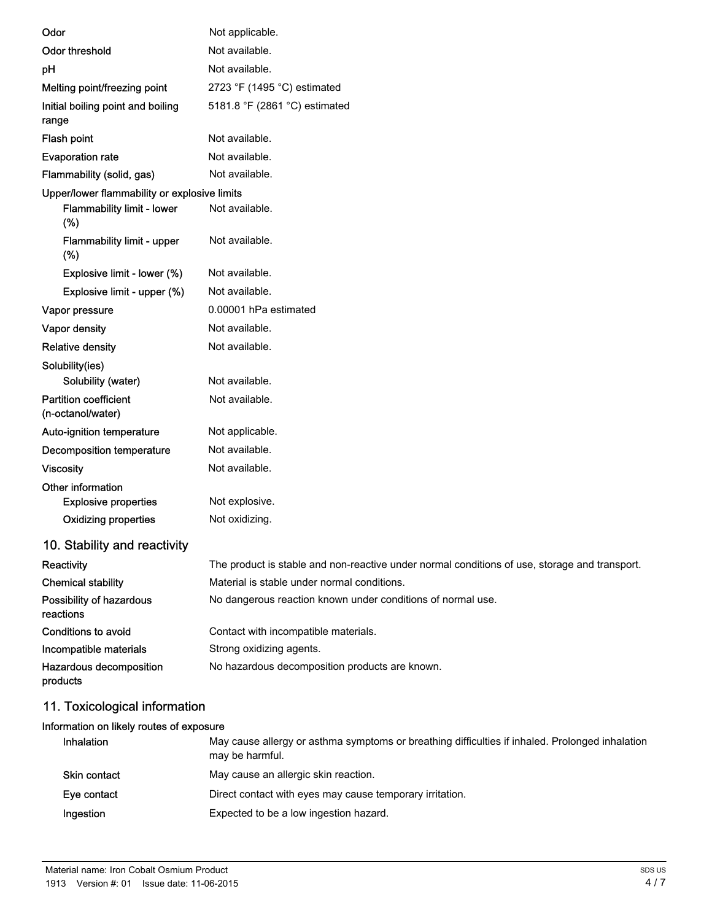| Odor                                              | Not applicable.                                                                                 |  |  |
|---------------------------------------------------|-------------------------------------------------------------------------------------------------|--|--|
| <b>Odor threshold</b>                             | Not available.                                                                                  |  |  |
| pH                                                | Not available.                                                                                  |  |  |
| Melting point/freezing point                      | 2723 °F (1495 °C) estimated                                                                     |  |  |
| Initial boiling point and boiling<br>range        | 5181.8 °F (2861 °C) estimated                                                                   |  |  |
| Flash point                                       | Not available.                                                                                  |  |  |
| <b>Evaporation rate</b>                           | Not available.                                                                                  |  |  |
| Flammability (solid, gas)                         | Not available.                                                                                  |  |  |
| Upper/lower flammability or explosive limits      |                                                                                                 |  |  |
| Flammability limit - lower<br>(%)                 | Not available.                                                                                  |  |  |
| Flammability limit - upper<br>(%)                 | Not available.                                                                                  |  |  |
| Explosive limit - lower (%)                       | Not available.                                                                                  |  |  |
| Explosive limit - upper (%)                       | Not available.                                                                                  |  |  |
| Vapor pressure                                    | 0.00001 hPa estimated                                                                           |  |  |
| Vapor density                                     | Not available.                                                                                  |  |  |
| <b>Relative density</b>                           | Not available.                                                                                  |  |  |
| Solubility(ies)                                   |                                                                                                 |  |  |
| Solubility (water)                                | Not available.                                                                                  |  |  |
| <b>Partition coefficient</b><br>(n-octanol/water) | Not available.                                                                                  |  |  |
| Auto-ignition temperature                         | Not applicable.                                                                                 |  |  |
| Decomposition temperature                         | Not available.                                                                                  |  |  |
| <b>Viscosity</b>                                  | Not available.                                                                                  |  |  |
| Other information                                 |                                                                                                 |  |  |
| <b>Explosive properties</b>                       | Not explosive.                                                                                  |  |  |
| <b>Oxidizing properties</b>                       | Not oxidizing.                                                                                  |  |  |
| 10. Stability and reactivity                      |                                                                                                 |  |  |
| Reactivity                                        | The product is stable and non-reactive under normal conditions of use, storage and transport.   |  |  |
| <b>Chemical stability</b>                         | Material is stable under normal conditions.                                                     |  |  |
| Possibility of hazardous<br>reactions             | No dangerous reaction known under conditions of normal use.                                     |  |  |
| Conditions to avoid                               | Contact with incompatible materials.                                                            |  |  |
| Incompatible materials                            | Strong oxidizing agents.                                                                        |  |  |
| Hazardous decomposition<br>products               | No hazardous decomposition products are known.                                                  |  |  |
| 11. Toxicological information                     |                                                                                                 |  |  |
| Information on likely routes of exposure          |                                                                                                 |  |  |
| Inhalation                                        | May cause allergy or asthma symptoms or breathing difficulties if inhaled. Prolonged inhalation |  |  |

|                     | may cause anony or astimia symptoms or preating unnounced in imalcular rolonged imalatic<br>may be harmful. |
|---------------------|-------------------------------------------------------------------------------------------------------------|
| <b>Skin contact</b> | May cause an allergic skin reaction.                                                                        |
| Eye contact         | Direct contact with eyes may cause temporary irritation.                                                    |
| Ingestion           | Expected to be a low ingestion hazard.                                                                      |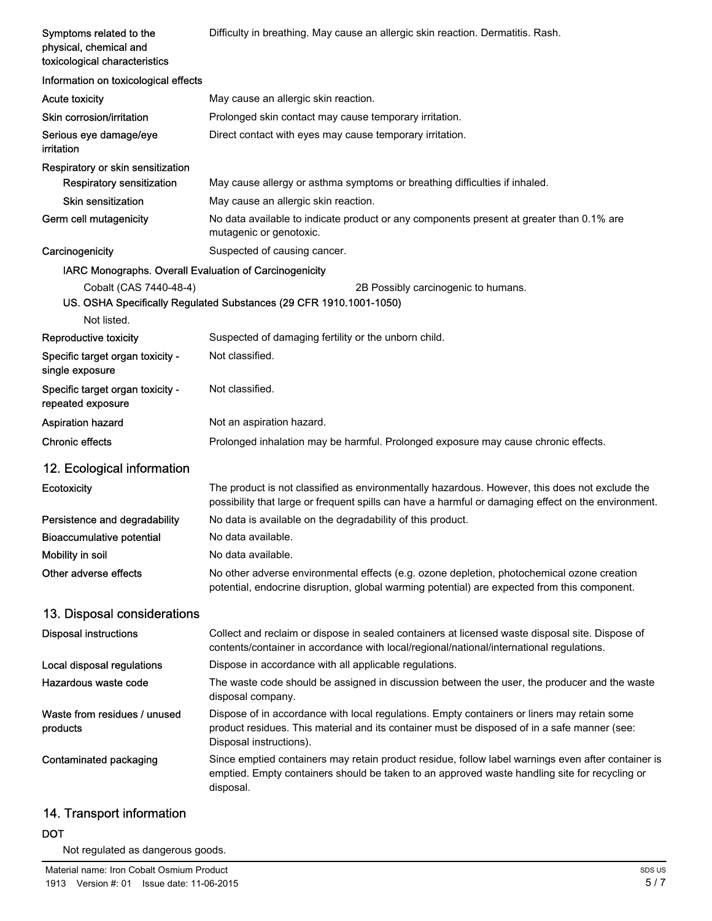| Symptoms related to the<br>physical, chemical and<br>toxicological characteristics | Difficulty in breathing. May cause an allergic skin reaction. Dermatitis. Rash.                                                                                                                                        |  |  |
|------------------------------------------------------------------------------------|------------------------------------------------------------------------------------------------------------------------------------------------------------------------------------------------------------------------|--|--|
| Information on toxicological effects                                               |                                                                                                                                                                                                                        |  |  |
| <b>Acute toxicity</b>                                                              | May cause an allergic skin reaction.                                                                                                                                                                                   |  |  |
| Skin corrosion/irritation                                                          | Prolonged skin contact may cause temporary irritation.                                                                                                                                                                 |  |  |
| Serious eye damage/eye<br>irritation                                               | Direct contact with eyes may cause temporary irritation.                                                                                                                                                               |  |  |
| Respiratory or skin sensitization                                                  |                                                                                                                                                                                                                        |  |  |
| <b>Respiratory sensitization</b>                                                   | May cause allergy or asthma symptoms or breathing difficulties if inhaled.                                                                                                                                             |  |  |
| <b>Skin sensitization</b>                                                          | May cause an allergic skin reaction.                                                                                                                                                                                   |  |  |
| Germ cell mutagenicity                                                             | No data available to indicate product or any components present at greater than 0.1% are<br>mutagenic or genotoxic.                                                                                                    |  |  |
| Carcinogenicity                                                                    | Suspected of causing cancer.                                                                                                                                                                                           |  |  |
| IARC Monographs. Overall Evaluation of Carcinogenicity                             |                                                                                                                                                                                                                        |  |  |
| Cobalt (CAS 7440-48-4)                                                             | 2B Possibly carcinogenic to humans.<br>US. OSHA Specifically Regulated Substances (29 CFR 1910.1001-1050)                                                                                                              |  |  |
| Not listed.                                                                        |                                                                                                                                                                                                                        |  |  |
| Reproductive toxicity                                                              | Suspected of damaging fertility or the unborn child.                                                                                                                                                                   |  |  |
| Specific target organ toxicity -<br>single exposure                                | Not classified.                                                                                                                                                                                                        |  |  |
| Specific target organ toxicity -<br>repeated exposure                              | Not classified.                                                                                                                                                                                                        |  |  |
| <b>Aspiration hazard</b>                                                           | Not an aspiration hazard.                                                                                                                                                                                              |  |  |
| <b>Chronic effects</b>                                                             | Prolonged inhalation may be harmful. Prolonged exposure may cause chronic effects.                                                                                                                                     |  |  |
| 12. Ecological information                                                         |                                                                                                                                                                                                                        |  |  |
| Ecotoxicity                                                                        | The product is not classified as environmentally hazardous. However, this does not exclude the<br>possibility that large or frequent spills can have a harmful or damaging effect on the environment.                  |  |  |
| Persistence and degradability                                                      | No data is available on the degradability of this product.                                                                                                                                                             |  |  |
| <b>Bioaccumulative potential</b>                                                   | No data available.                                                                                                                                                                                                     |  |  |
| Mobility in soil                                                                   | No data available.                                                                                                                                                                                                     |  |  |
| Other adverse effects                                                              | No other adverse environmental effects (e.g. ozone depletion, photochemical ozone creation<br>potential, endocrine disruption, global warming potential) are expected from this component.                             |  |  |
| 13. Disposal considerations                                                        |                                                                                                                                                                                                                        |  |  |
| <b>Disposal instructions</b>                                                       | Collect and reclaim or dispose in sealed containers at licensed waste disposal site. Dispose of<br>contents/container in accordance with local/regional/national/international regulations.                            |  |  |
| Local disposal regulations                                                         | Dispose in accordance with all applicable regulations.                                                                                                                                                                 |  |  |
| Hazardous waste code                                                               | The waste code should be assigned in discussion between the user, the producer and the waste<br>disposal company.                                                                                                      |  |  |
| Waste from residues / unused<br>products                                           | Dispose of in accordance with local regulations. Empty containers or liners may retain some<br>product residues. This material and its container must be disposed of in a safe manner (see:<br>Disposal instructions). |  |  |
| Contaminated packaging                                                             | Since emptied containers may retain product residue, follow label warnings even after container is<br>emptied. Empty containers should be taken to an approved waste handling site for recycling or<br>disposal.       |  |  |

# 14. Transport information

### DOT

Not regulated as dangerous goods.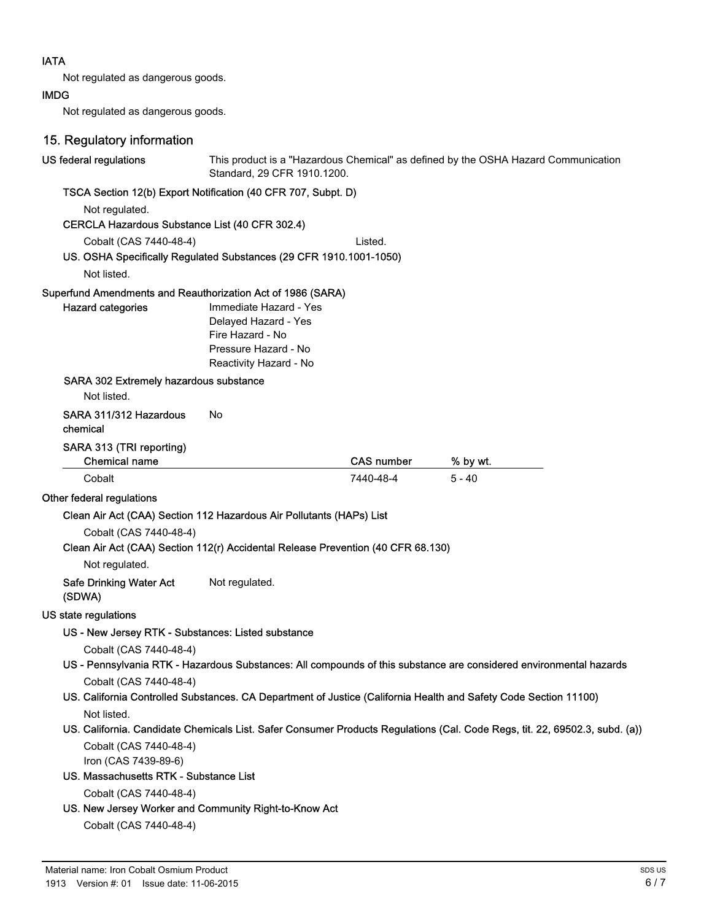### IATA

Not regulated as dangerous goods.

### IMDG

Not regulated as dangerous goods.

| 15. Regulatory information                                                       |                                                                                                                      |                   |                                                                                                                             |
|----------------------------------------------------------------------------------|----------------------------------------------------------------------------------------------------------------------|-------------------|-----------------------------------------------------------------------------------------------------------------------------|
| US federal regulations                                                           | This product is a "Hazardous Chemical" as defined by the OSHA Hazard Communication<br>Standard, 29 CFR 1910.1200.    |                   |                                                                                                                             |
| TSCA Section 12(b) Export Notification (40 CFR 707, Subpt. D)                    |                                                                                                                      |                   |                                                                                                                             |
| Not regulated.                                                                   |                                                                                                                      |                   |                                                                                                                             |
| CERCLA Hazardous Substance List (40 CFR 302.4)                                   |                                                                                                                      |                   |                                                                                                                             |
| Cobalt (CAS 7440-48-4)                                                           |                                                                                                                      | Listed.           |                                                                                                                             |
| US. OSHA Specifically Regulated Substances (29 CFR 1910.1001-1050)               |                                                                                                                      |                   |                                                                                                                             |
| Not listed.                                                                      |                                                                                                                      |                   |                                                                                                                             |
| Superfund Amendments and Reauthorization Act of 1986 (SARA)                      |                                                                                                                      |                   |                                                                                                                             |
| <b>Hazard categories</b>                                                         | Immediate Hazard - Yes<br>Delayed Hazard - Yes<br>Fire Hazard - No<br>Pressure Hazard - No<br>Reactivity Hazard - No |                   |                                                                                                                             |
| SARA 302 Extremely hazardous substance<br>Not listed.                            |                                                                                                                      |                   |                                                                                                                             |
| SARA 311/312 Hazardous<br>chemical                                               | No                                                                                                                   |                   |                                                                                                                             |
| SARA 313 (TRI reporting)<br><b>Chemical name</b>                                 |                                                                                                                      | <b>CAS number</b> | % by wt.                                                                                                                    |
| Cobalt                                                                           |                                                                                                                      | 7440-48-4         | $5 - 40$                                                                                                                    |
| Other federal regulations                                                        |                                                                                                                      |                   |                                                                                                                             |
| Clean Air Act (CAA) Section 112 Hazardous Air Pollutants (HAPs) List             |                                                                                                                      |                   |                                                                                                                             |
| Cobalt (CAS 7440-48-4)                                                           |                                                                                                                      |                   |                                                                                                                             |
| Clean Air Act (CAA) Section 112(r) Accidental Release Prevention (40 CFR 68.130) |                                                                                                                      |                   |                                                                                                                             |
| Not regulated.                                                                   |                                                                                                                      |                   |                                                                                                                             |
| <b>Safe Drinking Water Act</b><br>(SDWA)                                         | Not regulated.                                                                                                       |                   |                                                                                                                             |
| US state regulations                                                             |                                                                                                                      |                   |                                                                                                                             |
| US - New Jersey RTK - Substances: Listed substance                               |                                                                                                                      |                   |                                                                                                                             |
| Cobalt (CAS 7440-48-4)                                                           |                                                                                                                      |                   |                                                                                                                             |
|                                                                                  |                                                                                                                      |                   | US - Pennsylvania RTK - Hazardous Substances: All compounds of this substance are considered environmental hazards          |
| Cobalt (CAS 7440-48-4)                                                           |                                                                                                                      |                   |                                                                                                                             |
|                                                                                  |                                                                                                                      |                   | US. California Controlled Substances. CA Department of Justice (California Health and Safety Code Section 11100)            |
| Not listed.                                                                      |                                                                                                                      |                   |                                                                                                                             |
|                                                                                  |                                                                                                                      |                   | US. California. Candidate Chemicals List. Safer Consumer Products Regulations (Cal. Code Regs, tit. 22, 69502.3, subd. (a)) |
| Cobalt (CAS 7440-48-4)                                                           |                                                                                                                      |                   |                                                                                                                             |
| Iron (CAS 7439-89-6)<br>US. Massachusetts RTK - Substance List                   |                                                                                                                      |                   |                                                                                                                             |
| Cobalt (CAS 7440-48-4)                                                           |                                                                                                                      |                   |                                                                                                                             |
| US. New Jersey Worker and Community Right-to-Know Act                            |                                                                                                                      |                   |                                                                                                                             |
| Cobalt (CAS 7440-48-4)                                                           |                                                                                                                      |                   |                                                                                                                             |
|                                                                                  |                                                                                                                      |                   |                                                                                                                             |